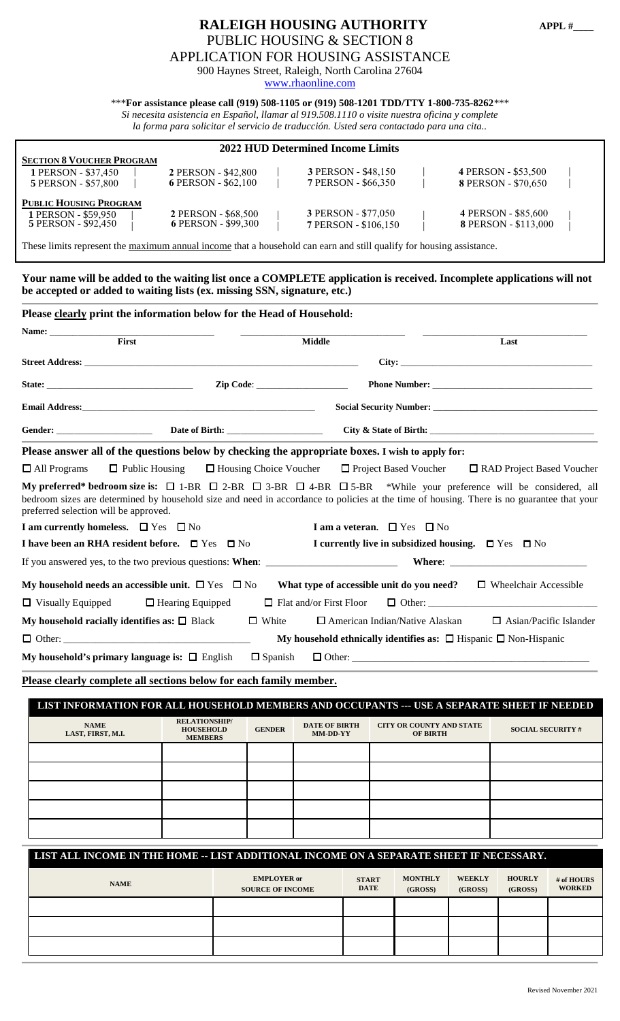### **RALEIGH HOUSING AUTHORITY APPL #\_\_\_\_** PUBLIC HOUSING & SECTION 8 APPLICATION FOR HOUSING ASSISTANCE 900 Haynes Street, Raleigh, North Carolina 27604

[www.rhaonline.com](http://www.rhaonline.com/)

\*\*\***For assistance please call (919) 508-1105 or (919) 508-1201 TDD/TTY 1-800-735-8262***\*\*\**

*Si necesita asistencia en Español, llamar al 919.508.1110 o visite nuestra oficina y complete*

*la forma para solicitar el servicio de traducción. Usted sera contactado para una cita..*

| <b>2022 HUD Determined Income Limits</b>                                       |                                            |  |                                             |  |                                                    |  |
|--------------------------------------------------------------------------------|--------------------------------------------|--|---------------------------------------------|--|----------------------------------------------------|--|
| <b>SECTION 8 VOUCHER PROGRAM</b><br>1 PERSON - \$37,450<br>5 PERSON - \$57,800 | 2 PERSON - \$42,800<br>6 PERSON - \$62,100 |  | 3 PERSON - \$48,150<br>7 PERSON - \$66,350  |  | 4 PERSON - \$53,500<br>8 PERSON - \$70,650         |  |
| <b>PUBLIC HOUSING PROGRAM</b><br>1 PERSON - \$59,950<br>5 PERSON - \$92,450    | 2 PERSON - \$68,500<br>6 PERSON - \$99,300 |  | 3 PERSON - \$77,050<br>7 PERSON - \$106,150 |  | 4 PERSON - \$85,600<br><b>8 PERSON - \$113,000</b> |  |

These limits represent the maximum annual income that a household can earn and still qualify for housing assistance.

**Your name will be added to the waiting list once a COMPLETE application is received. Incomplete applications will not be accepted or added to waiting lists (ex. missing SSN, signature, etc.)** 

|                                                                                                                                                                                                                                    | Please clearly print the information below for the Head of Household:                                                                                                                                                          |                |                                           |                                       |                                                                                                                                                                                                                                                                                        |  |
|------------------------------------------------------------------------------------------------------------------------------------------------------------------------------------------------------------------------------------|--------------------------------------------------------------------------------------------------------------------------------------------------------------------------------------------------------------------------------|----------------|-------------------------------------------|---------------------------------------|----------------------------------------------------------------------------------------------------------------------------------------------------------------------------------------------------------------------------------------------------------------------------------------|--|
|                                                                                                                                                                                                                                    | Name: Name: 2008. The contract of the contract of the contract of the contract of the contract of the contract of the contract of the contract of the contract of the contract of the contract of the contract of the contract |                |                                           |                                       |                                                                                                                                                                                                                                                                                        |  |
|                                                                                                                                                                                                                                    | First                                                                                                                                                                                                                          |                | <b>Middle</b>                             |                                       | Last                                                                                                                                                                                                                                                                                   |  |
|                                                                                                                                                                                                                                    |                                                                                                                                                                                                                                |                |                                           |                                       |                                                                                                                                                                                                                                                                                        |  |
|                                                                                                                                                                                                                                    |                                                                                                                                                                                                                                |                |                                           |                                       |                                                                                                                                                                                                                                                                                        |  |
| <b>Email Address:</b> The contract of the contract of the contract of the contract of the contract of the contract of the contract of the contract of the contract of the contract of the contract of the contract of the contract |                                                                                                                                                                                                                                |                |                                           |                                       |                                                                                                                                                                                                                                                                                        |  |
|                                                                                                                                                                                                                                    |                                                                                                                                                                                                                                |                |                                           |                                       |                                                                                                                                                                                                                                                                                        |  |
|                                                                                                                                                                                                                                    | Please answer all of the questions below by checking the appropriate boxes. I wish to apply for:                                                                                                                               |                |                                           |                                       |                                                                                                                                                                                                                                                                                        |  |
| $\Box$ All Programs                                                                                                                                                                                                                | $\Box$ Public Housing $\Box$ Housing Choice Voucher $\Box$ Project Based Voucher                                                                                                                                               |                |                                           |                                       | $\Box$ RAD Project Based Voucher                                                                                                                                                                                                                                                       |  |
| preferred selection will be approved.                                                                                                                                                                                              |                                                                                                                                                                                                                                |                |                                           |                                       | My preferred* bedroom size is: $\Box$ 1-BR $\Box$ 2-BR $\Box$ 3-BR $\Box$ 4-BR $\Box$ 5-BR *While your preference will be considered, all<br>bedroom sizes are determined by household size and need in accordance to policies at the time of housing. There is no guarantee that your |  |
|                                                                                                                                                                                                                                    | I am currently homeless. $\Box$ Yes $\Box$ No                                                                                                                                                                                  |                | I am a veteran. $\Box$ Yes $\Box$ No      |                                       |                                                                                                                                                                                                                                                                                        |  |
|                                                                                                                                                                                                                                    | <b>I</b> have been an RHA resident before. $\Box$ Yes $\Box$ No                                                                                                                                                                |                |                                           |                                       | I currently live in subsidized housing. $\Box$ Yes $\Box$ No                                                                                                                                                                                                                           |  |
|                                                                                                                                                                                                                                    |                                                                                                                                                                                                                                |                |                                           |                                       |                                                                                                                                                                                                                                                                                        |  |
|                                                                                                                                                                                                                                    | My household needs an accessible unit. $\square$ Yes $\square$ No                                                                                                                                                              |                | What type of accessible unit do you need? |                                       | $\Box$ Wheelchair Accessible                                                                                                                                                                                                                                                           |  |
| $\Box$ Visually Equipped                                                                                                                                                                                                           | $\Box$ Hearing Equipped                                                                                                                                                                                                        |                |                                           |                                       | $\Box$ Flat and/or First Floor $\Box$ Other:                                                                                                                                                                                                                                           |  |
|                                                                                                                                                                                                                                    | My household racially identifies as: $\square$ Black                                                                                                                                                                           | $\Box$ White   |                                           | $\Box$ American Indian/Native Alaskan | $\Box$ Asian/Pacific Islander                                                                                                                                                                                                                                                          |  |
|                                                                                                                                                                                                                                    | $\Box$ Other:                                                                                                                                                                                                                  |                |                                           |                                       | My household ethnically identifies as: $\Box$ Hispanic $\Box$ Non-Hispanic                                                                                                                                                                                                             |  |
|                                                                                                                                                                                                                                    | My household's primary language is: $\Box$ English                                                                                                                                                                             | $\Box$ Spanish |                                           |                                       |                                                                                                                                                                                                                                                                                        |  |

**Please clearly complete all sections below for each family member.**

| LIST INFORMATION FOR ALL HOUSEHOLD MEMBERS AND OCCUPANTS --- USE A SEPARATE SHEET IF NEEDED |                                                            |               |                                  |                                                    |                          |
|---------------------------------------------------------------------------------------------|------------------------------------------------------------|---------------|----------------------------------|----------------------------------------------------|--------------------------|
| <b>NAME</b><br>LAST, FIRST, M.I.                                                            | <b>RELATIONSHIP/</b><br><b>HOUSEHOLD</b><br><b>MEMBERS</b> | <b>GENDER</b> | <b>DATE OF BIRTH</b><br>MM-DD-YY | <b>CITY OR COUNTY AND STATE</b><br><b>OF BIRTH</b> | <b>SOCIAL SECURITY #</b> |
|                                                                                             |                                                            |               |                                  |                                                    |                          |
|                                                                                             |                                                            |               |                                  |                                                    |                          |
|                                                                                             |                                                            |               |                                  |                                                    |                          |
|                                                                                             |                                                            |               |                                  |                                                    |                          |
|                                                                                             |                                                            |               |                                  |                                                    |                          |

| LIST ALL INCOME IN THE HOME -- LIST ADDITIONAL INCOME ON A SEPARATE SHEET IF NECESSARY. |                                               |                             |                           |                          |                          |                             |
|-----------------------------------------------------------------------------------------|-----------------------------------------------|-----------------------------|---------------------------|--------------------------|--------------------------|-----------------------------|
| <b>NAME</b>                                                                             | <b>EMPLOYER</b> or<br><b>SOURCE OF INCOME</b> | <b>START</b><br><b>DATE</b> | <b>MONTHLY</b><br>(GROSS) | <b>WEEKLY</b><br>(GROSS) | <b>HOURLY</b><br>(GROSS) | # of HOURS<br><b>WORKED</b> |
|                                                                                         |                                               |                             |                           |                          |                          |                             |
|                                                                                         |                                               |                             |                           |                          |                          |                             |
|                                                                                         |                                               |                             |                           |                          |                          |                             |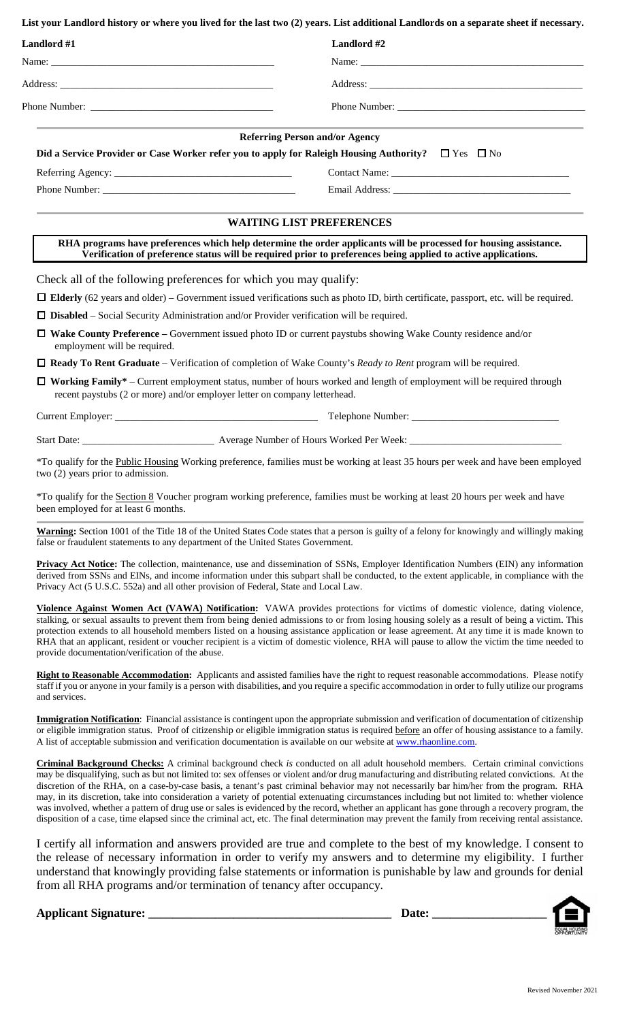**List your Landlord history or where you lived for the last two (2) years. List additional Landlords on a separate sheet if necessary.**

| Landlord #1                       | Landlord #2                                                                                                                                                                                                                        |
|-----------------------------------|------------------------------------------------------------------------------------------------------------------------------------------------------------------------------------------------------------------------------------|
|                                   |                                                                                                                                                                                                                                    |
|                                   |                                                                                                                                                                                                                                    |
|                                   |                                                                                                                                                                                                                                    |
|                                   | <b>Referring Person and/or Agency</b>                                                                                                                                                                                              |
|                                   | Did a Service Provider or Case Worker refer you to apply for Raleigh Housing Authority? $\square$ Yes $\square$ No                                                                                                                 |
|                                   |                                                                                                                                                                                                                                    |
|                                   |                                                                                                                                                                                                                                    |
|                                   | <b>WAITING LIST PREFERENCES</b>                                                                                                                                                                                                    |
|                                   | RHA programs have preferences which help determine the order applicants will be processed for housing assistance.<br>Verification of preference status will be required prior to preferences being applied to active applications. |
|                                   | Check all of the following preferences for which you may qualify:                                                                                                                                                                  |
|                                   | $\Box$ Elderly (62 years and older) – Government issued verifications such as photo ID, birth certificate, passport, etc. will be required.                                                                                        |
|                                   | $\Box$ <b>Disabled</b> – Social Security Administration and/or Provider verification will be required.                                                                                                                             |
| □<br>employment will be required. | Wake County Preference – Government issued photo ID or current paystubs showing Wake County residence and/or                                                                                                                       |
|                                   | $\Box$ Ready To Rent Graduate – Verification of completion of Wake County's <i>Ready to Rent</i> program will be required.                                                                                                         |
| $\Box$                            | Working Family* – Current employment status, number of hours worked and length of employment will be required through<br>recent paystubs (2 or more) and/or employer letter on company letterhead.                                 |
|                                   |                                                                                                                                                                                                                                    |
| <b>Start Date:</b>                | Average Number of Hours Worked Per Week:                                                                                                                                                                                           |

\*To qualify for the Public Housing Working preference, families must be working at least 35 hours per week and have been employed two (2) years prior to admission.

\*To qualify for the Section 8 Voucher program working preference, families must be working at least 20 hours per week and have been employed for at least 6 months.

**Warning:** Section 1001 of the Title 18 of the United States Code states that a person is guilty of a felony for knowingly and willingly making false or fraudulent statements to any department of the United States Government.

**Privacy Act Notice:** The collection, maintenance, use and dissemination of SSNs, Employer Identification Numbers (EIN) any information derived from SSNs and EINs, and income information under this subpart shall be conducted, to the extent applicable, in compliance with the Privacy Act (5 U.S.C. 552a) and all other provision of Federal, State and Local Law.

**Violence Against Women Act (VAWA) Notification:** VAWA provides protections for victims of domestic violence, dating violence, stalking, or sexual assaults to prevent them from being denied admissions to or from losing housing solely as a result of being a victim. This protection extends to all household members listed on a housing assistance application or lease agreement. At any time it is made known to RHA that an applicant, resident or voucher recipient is a victim of domestic violence, RHA will pause to allow the victim the time needed to provide documentation/verification of the abuse.

**Right to Reasonable Accommodation:** Applicants and assisted families have the right to request reasonable accommodations. Please notify staff if you or anyone in your family is a person with disabilities, and you require a specific accommodation in order to fully utilize our programs and services.

**Immigration Notification**: Financial assistance is contingent upon the appropriate submission and verification of documentation of citizenship or eligible immigration status. Proof of citizenship or eligible immigration status is required before an offer of housing assistance to a family. A list of acceptable submission and verification documentation is available on our website at [www.rhaonline.com.](http://www.rhaonline.com/)

**Criminal Background Checks:** A criminal background check *is* conducted on all adult household members.Certain criminal convictions may be disqualifying, such as but not limited to: sex offenses or violent and/or drug manufacturing and distributing related convictions. At the discretion of the RHA, on a case-by-case basis, a tenant's past criminal behavior may not necessarily bar him/her from the program. RHA may, in its discretion, take into consideration a variety of potential extenuating circumstances including but not limited to: whether violence was involved, whether a pattern of drug use or sales is evidenced by the record, whether an applicant has gone through a recovery program, the disposition of a case, time elapsed since the criminal act, etc. The final determination may prevent the family from receiving rental assistance.

I certify all information and answers provided are true and complete to the best of my knowledge. I consent to the release of necessary information in order to verify my answers and to determine my eligibility. I further understand that knowingly providing false statements or information is punishable by law and grounds for denial from all RHA programs and/or termination of tenancy after occupancy.

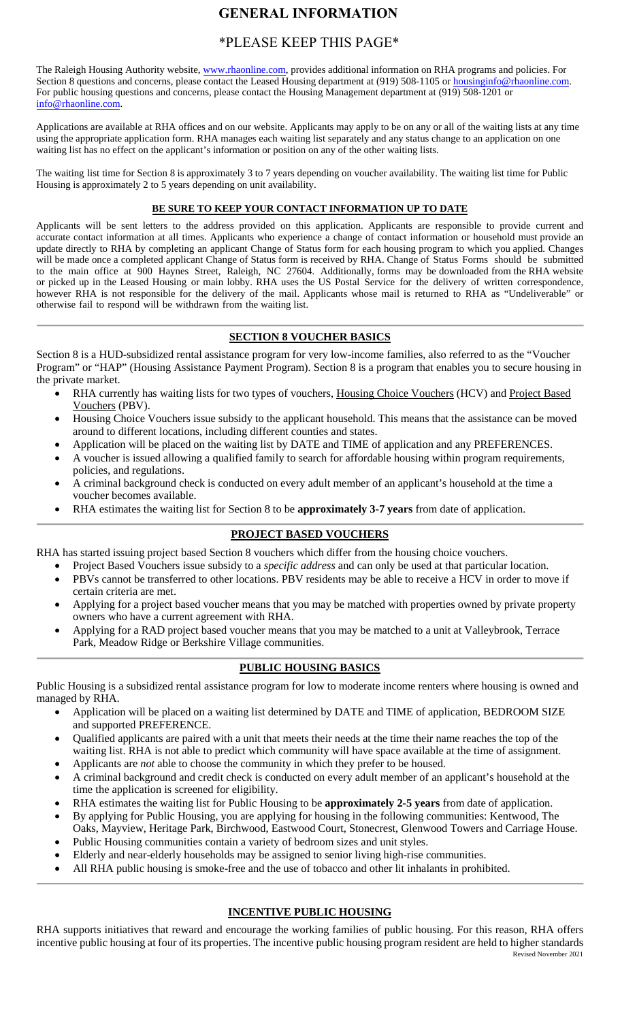# **GENERAL INFORMATION**

## \*PLEASE KEEP THIS PAGE\*

The Raleigh Housing Authority website, [www.rhaonline.com,](http://www.rhaonline.com/) provides additional information on RHA programs and policies. For [Section 8 questions and concern](mailto:housinginfo@rhaonline.com)s, please contact the Leased Housing department at (919) 508-1105 or housinginfo@rhaonline.com. For public housing questions and concerns, please contact the Housing Management department at (919) 508-1201 or [info@rhaonline.com.](mailto:info@rhaonline.com)

Applications are available at RHA offices and on our website. Applicants may apply to be on any or all of the waiting lists at any time using the appropriate application form. RHA manages each waiting list separately and any status change to an application on one waiting list has no effect on the applicant's information or position on any of the other waiting lists.

The waiting list time for Section 8 is approximately 3 to 7 years depending on voucher availability. The waiting list time for Public Housing is approximately 2 to 5 years depending on unit availability.

#### **BE SURE TO KEEP YOUR CONTACT INFORMATION UP TO DATE**

Applicants will be sent letters to the address provided on this application. Applicants are responsible to provide current and accurate contact information at all times. Applicants who experience a change of contact information or household must provide an update directly to RHA by completing an applicant Change of Status form for each housing program to which you applied. Changes will be made once a completed applicant Change of Status form is received by RHA. Change of Status Forms should be submitted to the main office at 900 Haynes Street, Raleigh, NC 27604. Additionally, forms may be downloaded from the RHA website or picked up in the Leased Housing or main lobby. RHA uses the US Postal Service for the delivery of written correspondence, however RHA is not responsible for the delivery of the mail. Applicants whose mail is returned to RHA as "Undeliverable" or otherwise fail to respond will be withdrawn from the waiting list.

#### **SECTION 8 VOUCHER BASICS**

Section 8 is a HUD-subsidized rental assistance program for very low-income families, also referred to as the "Voucher Program" or "HAP" (Housing Assistance Payment Program). Section 8 is a program that enables you to secure housing in the private market.

- RHA currently has waiting lists for two types of vouchers, Housing Choice Vouchers (HCV) and Project Based Vouchers (PBV).
- Housing Choice Vouchers issue subsidy to the applicant household. This means that the assistance can be moved around to different locations, including different counties and states.
- Application will be placed on the waiting list by DATE and TIME of application and any PREFERENCES.
- A voucher is issued allowing a qualified family to search for affordable housing within program requirements, policies, and regulations.
- A criminal background check is conducted on every adult member of an applicant's household at the time a voucher becomes available.
- RHA estimates the waiting list for Section 8 to be **approximately 3-7 years** from date of application.

#### **PROJECT BASED VOUCHERS**

RHA has started issuing project based Section 8 vouchers which differ from the housing choice vouchers.

- Project Based Vouchers issue subsidy to a *specific address* and can only be used at that particular location.
- PBVs cannot be transferred to other locations. PBV residents may be able to receive a HCV in order to move if certain criteria are met.
- Applying for a project based voucher means that you may be matched with properties owned by private property owners who have a current agreement with RHA.
- Applying for a RAD project based voucher means that you may be matched to a unit at Valleybrook, Terrace Park, Meadow Ridge or Berkshire Village communities.

#### **PUBLIC HOUSING BASICS**

Public Housing is a subsidized rental assistance program for low to moderate income renters where housing is owned and managed by RHA.

- Application will be placed on a waiting list determined by DATE and TIME of application, BEDROOM SIZE and supported PREFERENCE.
- Qualified applicants are paired with a unit that meets their needs at the time their name reaches the top of the waiting list. RHA is not able to predict which community will have space available at the time of assignment.
- Applicants are *not* able to choose the community in which they prefer to be housed.
- A criminal background and credit check is conducted on every adult member of an applicant's household at the time the application is screened for eligibility.
- RHA estimates the waiting list for Public Housing to be **approximately 2-5 years** from date of application.
- By applying for Public Housing, you are applying for housing in the following communities: Kentwood, The Oaks, Mayview, Heritage Park, Birchwood, Eastwood Court, Stonecrest, Glenwood Towers and Carriage House.
- Public Housing communities contain a variety of bedroom sizes and unit styles.
- Elderly and near-elderly households may be assigned to senior living high-rise communities.
- All RHA public housing is smoke-free and the use of tobacco and other lit inhalants in prohibited.

#### **INCENTIVE PUBLIC HOUSING**

Revised November 2021 RHA supports initiatives that reward and encourage the working families of public housing. For this reason, RHA offers incentive public housing at four of its properties. The incentive public housing program resident are held to higher standards